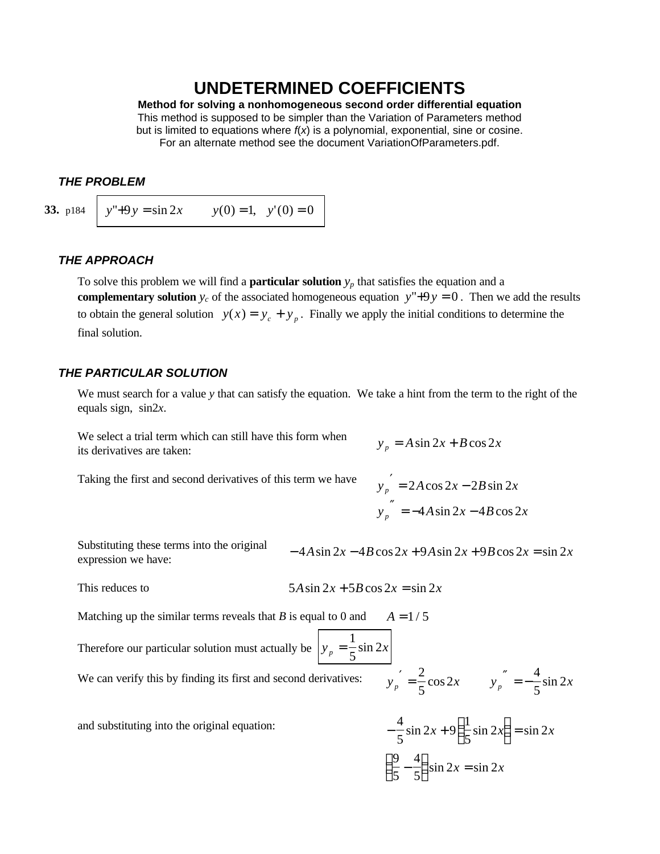# **UNDETERMINED COEFFICIENTS**

**Method for solving a nonhomogeneous second order differential equation** This method is supposed to be simpler than the Variation of Parameters method but is limited to equations where *f*(*x*) is a polynomial, exponential, sine or cosine. For an alternate method see the document VariationOfParameters.pdf.

## *THE PROBLEM*

**33.** p184  $\begin{cases} y'' + 9y = \sin 2x \end{cases}$   $y(0) = 1$ ,  $y'(0) = 0$ 

## *THE APPROACH*

To solve this problem we will find a **particular solution**  $y_p$  that satisfies the equation and a **complementary solution**  $y_c$  of the associated homogeneous equation  $y''+9y = 0$ . Then we add the results to obtain the general solution  $y(x) = y_c + y_p$ . Finally we apply the initial conditions to determine the final solution.

## *THE PARTICULAR SOLUTION*

We must search for a value *y* that can satisfy the equation. We take a hint from the term to the right of the equals sign, sin2*x*.

We select a trial term which can still have this form when *its derivatives are taken:* 

$$
y_n = A \sin 2x + B \cos 2x
$$

Taking the first and second derivatives of this term we have

$$
y_p' = 2A\cos 2x - 2B\sin 2x
$$
  

$$
y_p'' = -4A\sin 2x - 4B\cos 2x
$$

Substituting these terms into the original  $expression$  we have:

$$
4A\sin 2x - 4B\cos 2x + 9A\sin 2x + 9B\cos 2x = \sin 2x
$$

 $This reduces to$ 

$$
5A\sin 2x + 5B\cos 2x = \sin 2x
$$

Matching up the similar terms reveals that *B* is equal to 0 and  $A = 1/5$ 

Therefore our particular solution must actually be  $y_p = \frac{1}{5} \sin 2x$ 5 sin 2 We can verify this by finding its first and second derivatives:  $\frac{2}{5}$  $\frac{2}{5}\cos 2x$   $y_p'' = -\frac{4}{5}\sin 2x$ 5 sin 2

and substituting into the original equation:

$$
-\frac{4}{5}\sin 2x + 9\left(\frac{1}{5}\sin 2x\right) = \sin 2x
$$

$$
\left(\frac{9}{5} - \frac{4}{5}\right)\sin 2x = \sin 2x
$$